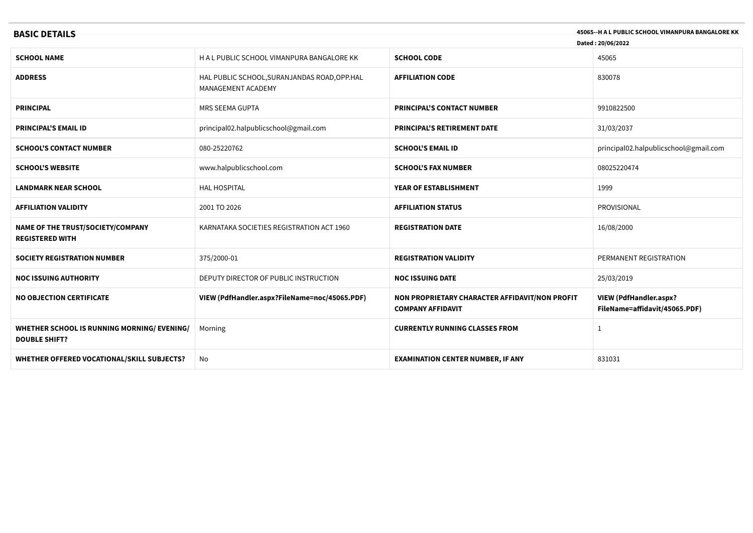| 45065--H A L PUBLIC SCHOOL VIMANPURA BANGALORE KK<br><b>BASIC DETAILS</b><br>Dated: 20/06/2022 |                                                                     |                                                                            |                                                                |
|------------------------------------------------------------------------------------------------|---------------------------------------------------------------------|----------------------------------------------------------------------------|----------------------------------------------------------------|
| <b>SCHOOL NAME</b>                                                                             | H A L PUBLIC SCHOOL VIMANPURA BANGALORE KK                          | <b>SCHOOL CODE</b>                                                         | 45065                                                          |
| <b>ADDRESS</b>                                                                                 | HAL PUBLIC SCHOOL, SURANJANDAS ROAD, OPP. HAL<br>MANAGEMENT ACADEMY | <b>AFFILIATION CODE</b>                                                    | 830078                                                         |
| <b>PRINCIPAL</b>                                                                               | MRS SEEMA GUPTA                                                     | <b>PRINCIPAL'S CONTACT NUMBER</b>                                          | 9910822500                                                     |
| <b>PRINCIPAL'S EMAIL ID</b>                                                                    | principal02.halpublicschool@gmail.com                               | <b>PRINCIPAL'S RETIREMENT DATE</b>                                         | 31/03/2037                                                     |
| <b>SCHOOL'S CONTACT NUMBER</b>                                                                 | 080-25220762                                                        | <b>SCHOOL'S EMAIL ID</b>                                                   | principal02.halpublicschool@gmail.com                          |
| <b>SCHOOL'S WEBSITE</b>                                                                        | www.halpublicschool.com                                             | <b>SCHOOL'S FAX NUMBER</b>                                                 | 08025220474                                                    |
| <b>LANDMARK NEAR SCHOOL</b>                                                                    | <b>HAL HOSPITAL</b>                                                 | YEAR OF ESTABLISHMENT                                                      | 1999                                                           |
| <b>AFFILIATION VALIDITY</b>                                                                    | 2001 TO 2026                                                        | <b>AFFILIATION STATUS</b>                                                  | PROVISIONAL                                                    |
| NAME OF THE TRUST/SOCIETY/COMPANY<br><b>REGISTERED WITH</b>                                    | KARNATAKA SOCIETIES REGISTRATION ACT 1960                           | <b>REGISTRATION DATE</b>                                                   | 16/08/2000                                                     |
| <b>SOCIETY REGISTRATION NUMBER</b>                                                             | 375/2000-01                                                         | <b>REGISTRATION VALIDITY</b>                                               | PERMANENT REGISTRATION                                         |
| <b>NOC ISSUING AUTHORITY</b>                                                                   | DEPUTY DIRECTOR OF PUBLIC INSTRUCTION                               | <b>NOC ISSUING DATE</b>                                                    | 25/03/2019                                                     |
| <b>NO OBJECTION CERTIFICATE</b>                                                                | VIEW (PdfHandler.aspx?FileName=noc/45065.PDF)                       | NON PROPRIETARY CHARACTER AFFIDAVIT/NON PROFIT<br><b>COMPANY AFFIDAVIT</b> | <b>VIEW (PdfHandler.aspx?</b><br>FileName=affidavit/45065.PDF) |
| WHETHER SCHOOL IS RUNNING MORNING/ EVENING/<br><b>DOUBLE SHIFT?</b>                            | Morning                                                             | <b>CURRENTLY RUNNING CLASSES FROM</b>                                      | 1                                                              |
| WHETHER OFFERED VOCATIONAL/SKILL SUBJECTS?                                                     | No                                                                  | <b>EXAMINATION CENTER NUMBER, IF ANY</b>                                   | 831031                                                         |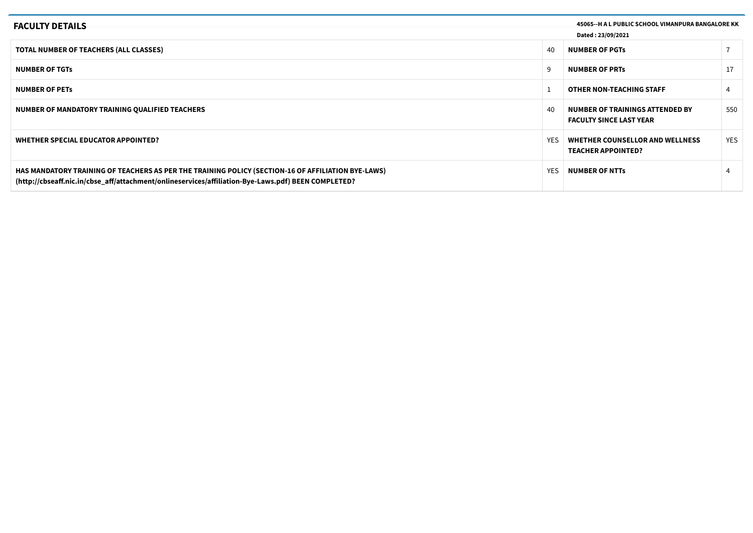| <b>FACULTY DETAILS</b>                                                                                                                                                                                    |      | 45065--H A L PUBLIC SCHOOL VIMANPURA BANGALORE KK                 |            |
|-----------------------------------------------------------------------------------------------------------------------------------------------------------------------------------------------------------|------|-------------------------------------------------------------------|------------|
| Dated: 23/09/2021                                                                                                                                                                                         |      |                                                                   |            |
| <b>TOTAL NUMBER OF TEACHERS (ALL CLASSES)</b>                                                                                                                                                             | 40   | <b>NUMBER OF PGTs</b>                                             |            |
| <b>NUMBER OF TGTs</b>                                                                                                                                                                                     |      | <b>NUMBER OF PRTS</b>                                             |            |
| <b>NUMBER OF PETS</b>                                                                                                                                                                                     |      | <b>OTHER NON-TEACHING STAFF</b>                                   |            |
| NUMBER OF MANDATORY TRAINING QUALIFIED TEACHERS                                                                                                                                                           | 40   | NUMBER OF TRAININGS ATTENDED BY<br><b>FACULTY SINCE LAST YEAR</b> | 550        |
| WHETHER SPECIAL EDUCATOR APPOINTED?                                                                                                                                                                       | YES. | WHETHER COUNSELLOR AND WELLNESS<br><b>TEACHER APPOINTED?</b>      | <b>YES</b> |
| HAS MANDATORY TRAINING OF TEACHERS AS PER THE TRAINING POLICY (SECTION-16 OF AFFILIATION BYE-LAWS)<br>(http://cbseaff.nic.in/cbse_aff/attachment/onlineservices/affiliation-Bye-Laws.pdf) BEEN COMPLETED? | YES. | <b>NUMBER OF NTTs</b>                                             |            |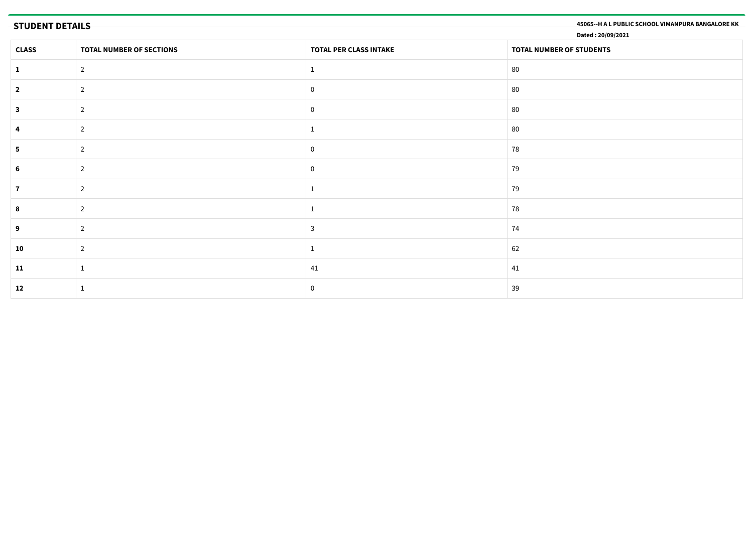**STUDENT DETAILS 45065--H A L PUBLIC SCHOOL VIMANPURA BANGALORE KK**

**Dated : 20/09/2021**

| <b>CLASS</b> | TOTAL NUMBER OF SECTIONS | TOTAL PER CLASS INTAKE | TOTAL NUMBER OF STUDENTS |
|--------------|--------------------------|------------------------|--------------------------|
|              | $\overline{2}$           |                        | 80                       |
| $\mathbf{2}$ | $\overline{2}$           | $\Omega$               | 80                       |
| 3            | $\overline{2}$           | $\Omega$               | 80                       |
|              | 2                        |                        | 80                       |
|              | $\overline{2}$           | $\Omega$               | 78                       |
|              | 2                        | $\mathbf{0}$           | 79                       |
|              | $\overline{2}$           |                        | 79                       |
|              | $\overline{2}$           |                        | 78                       |
| 9            | 2                        | $\mathbf{3}$           | 74                       |
| 10           | 2                        |                        | 62                       |
| 11           |                          | 41                     | 41                       |
| 12           |                          | $\Omega$               | 39                       |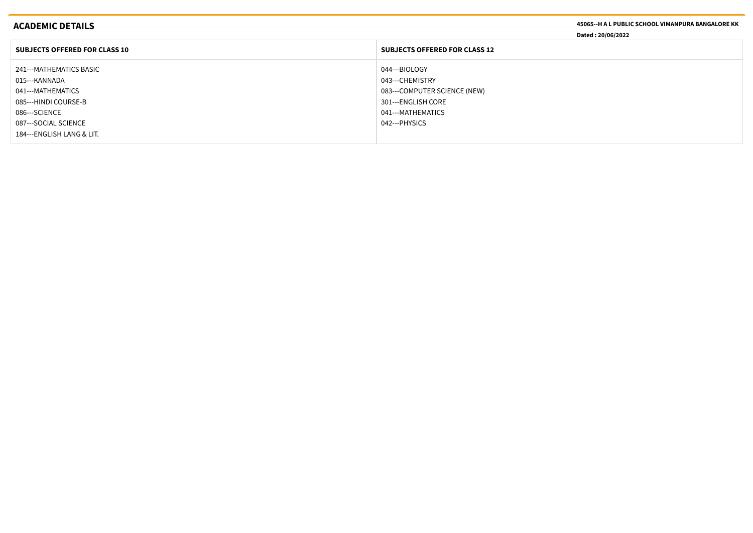|                                                                                                                                                        | Dated: 20/06/2022                    |
|--------------------------------------------------------------------------------------------------------------------------------------------------------|--------------------------------------|
| <b>SUBJECTS OFFERED FOR CLASS 10</b>                                                                                                                   | <b>SUBJECTS OFFERED FOR CLASS 12</b> |
| 241---MATHEMATICS BASIC<br>044---BIOLOGY<br>043---CHEMISTRY<br>015---KANNADA<br>041---MATHEMATICS                                                      | 083---COMPUTER SCIENCE (NEW)         |
| 085---HINDI COURSE-B<br>301---ENGLISH CORE<br>041---MATHEMATICS<br>086---SCIENCE<br>087---SOCIAL SCIENCE<br>042---PHYSICS<br>184---ENGLISH LANG & LIT. |                                      |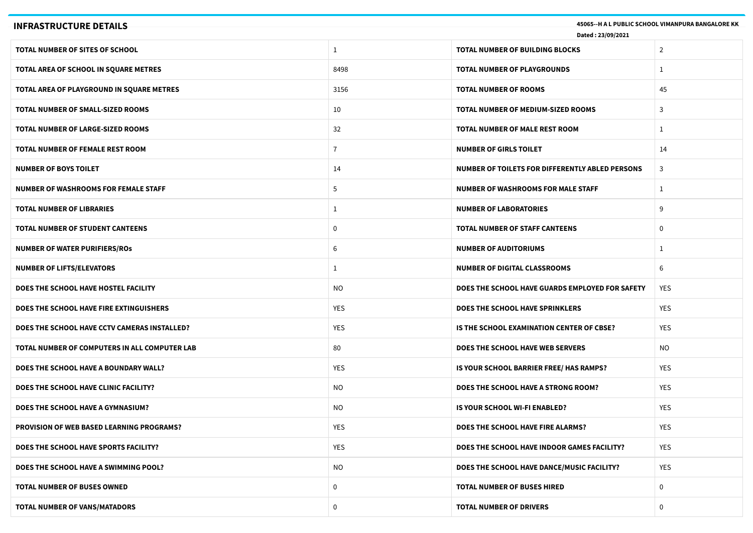| 45065 -- H A L PUBLIC SCHOOL VIMANPURA BANGALORE KK<br><b>INFRASTRUCTURE DETAILS</b><br>Dated: 23/09/2021 |                |                                                 |                |
|-----------------------------------------------------------------------------------------------------------|----------------|-------------------------------------------------|----------------|
| TOTAL NUMBER OF SITES OF SCHOOL                                                                           | $\mathbf{1}$   | <b>TOTAL NUMBER OF BUILDING BLOCKS</b>          | $\overline{2}$ |
| TOTAL AREA OF SCHOOL IN SQUARE METRES                                                                     | 8498           | <b>TOTAL NUMBER OF PLAYGROUNDS</b>              | $\mathbf{1}$   |
| TOTAL AREA OF PLAYGROUND IN SQUARE METRES                                                                 | 3156           | <b>TOTAL NUMBER OF ROOMS</b>                    | 45             |
| <b>TOTAL NUMBER OF SMALL-SIZED ROOMS</b>                                                                  | 10             | TOTAL NUMBER OF MEDIUM-SIZED ROOMS              | 3              |
| <b>TOTAL NUMBER OF LARGE-SIZED ROOMS</b>                                                                  | 32             | TOTAL NUMBER OF MALE REST ROOM                  | $\mathbf{1}$   |
| TOTAL NUMBER OF FEMALE REST ROOM                                                                          | $\overline{7}$ | <b>NUMBER OF GIRLS TOILET</b>                   | 14             |
| <b>NUMBER OF BOYS TOILET</b>                                                                              | 14             | NUMBER OF TOILETS FOR DIFFERENTLY ABLED PERSONS | 3              |
| <b>NUMBER OF WASHROOMS FOR FEMALE STAFF</b>                                                               | 5              | <b>NUMBER OF WASHROOMS FOR MALE STAFF</b>       | $\mathbf{1}$   |
| <b>TOTAL NUMBER OF LIBRARIES</b>                                                                          | $\mathbf{1}$   | <b>NUMBER OF LABORATORIES</b>                   | 9              |
| <b>TOTAL NUMBER OF STUDENT CANTEENS</b>                                                                   | 0              | <b>TOTAL NUMBER OF STAFF CANTEENS</b>           | 0              |
| <b>NUMBER OF WATER PURIFIERS/ROS</b>                                                                      | 6              | <b>NUMBER OF AUDITORIUMS</b>                    | 1              |
| <b>NUMBER OF LIFTS/ELEVATORS</b>                                                                          | $\mathbf{1}$   | <b>NUMBER OF DIGITAL CLASSROOMS</b>             | 6              |
| DOES THE SCHOOL HAVE HOSTEL FACILITY                                                                      | NO.            | DOES THE SCHOOL HAVE GUARDS EMPLOYED FOR SAFETY | <b>YES</b>     |
| DOES THE SCHOOL HAVE FIRE EXTINGUISHERS                                                                   | <b>YES</b>     | <b>DOES THE SCHOOL HAVE SPRINKLERS</b>          | YES            |
| DOES THE SCHOOL HAVE CCTV CAMERAS INSTALLED?                                                              | <b>YES</b>     | IS THE SCHOOL EXAMINATION CENTER OF CBSE?       | <b>YES</b>     |
| TOTAL NUMBER OF COMPUTERS IN ALL COMPUTER LAB                                                             | 80             | DOES THE SCHOOL HAVE WEB SERVERS                | <b>NO</b>      |
| DOES THE SCHOOL HAVE A BOUNDARY WALL?                                                                     | <b>YES</b>     | IS YOUR SCHOOL BARRIER FREE/ HAS RAMPS?         | YES            |
| DOES THE SCHOOL HAVE CLINIC FACILITY?                                                                     | NO.            | DOES THE SCHOOL HAVE A STRONG ROOM?             | YES            |
| DOES THE SCHOOL HAVE A GYMNASIUM?                                                                         | NO.            | IS YOUR SCHOOL WI-FI ENABLED?                   | <b>YES</b>     |
| <b>PROVISION OF WEB BASED LEARNING PROGRAMS?</b>                                                          | YES            | DOES THE SCHOOL HAVE FIRE ALARMS?               | YES            |
| DOES THE SCHOOL HAVE SPORTS FACILITY?                                                                     | YES            | DOES THE SCHOOL HAVE INDOOR GAMES FACILITY?     | YES            |
| DOES THE SCHOOL HAVE A SWIMMING POOL?                                                                     | <b>NO</b>      | DOES THE SCHOOL HAVE DANCE/MUSIC FACILITY?      | YES            |
| TOTAL NUMBER OF BUSES OWNED                                                                               | 0              | <b>TOTAL NUMBER OF BUSES HIRED</b>              | $\mathbf 0$    |
| TOTAL NUMBER OF VANS/MATADORS                                                                             | 0              | <b>TOTAL NUMBER OF DRIVERS</b>                  | 0              |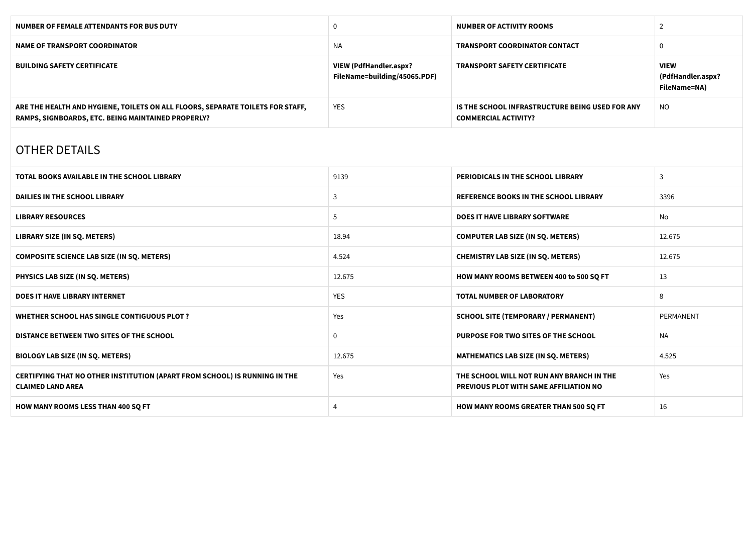| <b>NUMBER OF FEMALE ATTENDANTS FOR BUS DUTY</b>                                                                                      | $\mathbf 0$                                                   | <b>NUMBER OF ACTIVITY ROOMS</b>                                                     | $\overline{2}$                                   |
|--------------------------------------------------------------------------------------------------------------------------------------|---------------------------------------------------------------|-------------------------------------------------------------------------------------|--------------------------------------------------|
| <b>NAME OF TRANSPORT COORDINATOR</b>                                                                                                 | <b>NA</b>                                                     | <b>TRANSPORT COORDINATOR CONTACT</b>                                                | $\mathbf 0$                                      |
| <b>BUILDING SAFETY CERTIFICATE</b>                                                                                                   | <b>VIEW (PdfHandler.aspx?</b><br>FileName=building/45065.PDF) | <b>TRANSPORT SAFETY CERTIFICATE</b>                                                 | <b>VIEW</b><br>(PdfHandler.aspx?<br>FileName=NA) |
| ARE THE HEALTH AND HYGIENE, TOILETS ON ALL FLOORS, SEPARATE TOILETS FOR STAFF,<br>RAMPS, SIGNBOARDS, ETC. BEING MAINTAINED PROPERLY? | <b>YES</b>                                                    | IS THE SCHOOL INFRASTRUCTURE BEING USED FOR ANY<br><b>COMMERCIAL ACTIVITY?</b>      | <b>NO</b>                                        |
| <b>OTHER DETAILS</b>                                                                                                                 |                                                               |                                                                                     |                                                  |
| <b>TOTAL BOOKS AVAILABLE IN THE SCHOOL LIBRARY</b>                                                                                   | 9139                                                          | PERIODICALS IN THE SCHOOL LIBRARY                                                   | 3                                                |
| <b>DAILIES IN THE SCHOOL LIBRARY</b>                                                                                                 | 3                                                             | <b>REFERENCE BOOKS IN THE SCHOOL LIBRARY</b>                                        | 3396                                             |
| <b>LIBRARY RESOURCES</b>                                                                                                             | 5                                                             | <b>DOES IT HAVE LIBRARY SOFTWARE</b>                                                | No                                               |
| <b>LIBRARY SIZE (IN SQ. METERS)</b>                                                                                                  | 18.94                                                         | <b>COMPUTER LAB SIZE (IN SQ. METERS)</b>                                            | 12.675                                           |
| <b>COMPOSITE SCIENCE LAB SIZE (IN SQ. METERS)</b>                                                                                    | 4.524                                                         | <b>CHEMISTRY LAB SIZE (IN SQ. METERS)</b>                                           | 12.675                                           |
| PHYSICS LAB SIZE (IN SQ. METERS)                                                                                                     | 12.675                                                        | HOW MANY ROOMS BETWEEN 400 to 500 SQ FT                                             | 13                                               |
| <b>DOES IT HAVE LIBRARY INTERNET</b>                                                                                                 | <b>YES</b>                                                    | <b>TOTAL NUMBER OF LABORATORY</b>                                                   | 8                                                |
| WHETHER SCHOOL HAS SINGLE CONTIGUOUS PLOT ?                                                                                          | Yes                                                           | <b>SCHOOL SITE (TEMPORARY / PERMANENT)</b>                                          | PERMANENT                                        |
| DISTANCE BETWEEN TWO SITES OF THE SCHOOL                                                                                             | $\mathbf 0$                                                   | PURPOSE FOR TWO SITES OF THE SCHOOL                                                 | NA.                                              |
| <b>BIOLOGY LAB SIZE (IN SQ. METERS)</b>                                                                                              | 12.675                                                        | MATHEMATICS LAB SIZE (IN SQ. METERS)                                                | 4.525                                            |
| CERTIFYING THAT NO OTHER INSTITUTION (APART FROM SCHOOL) IS RUNNING IN THE<br><b>CLAIMED LAND AREA</b>                               | Yes                                                           | THE SCHOOL WILL NOT RUN ANY BRANCH IN THE<br>PREVIOUS PLOT WITH SAME AFFILIATION NO | Yes                                              |
| <b>HOW MANY ROOMS LESS THAN 400 SQ FT</b>                                                                                            | 4                                                             | HOW MANY ROOMS GREATER THAN 500 SQ FT                                               | 16                                               |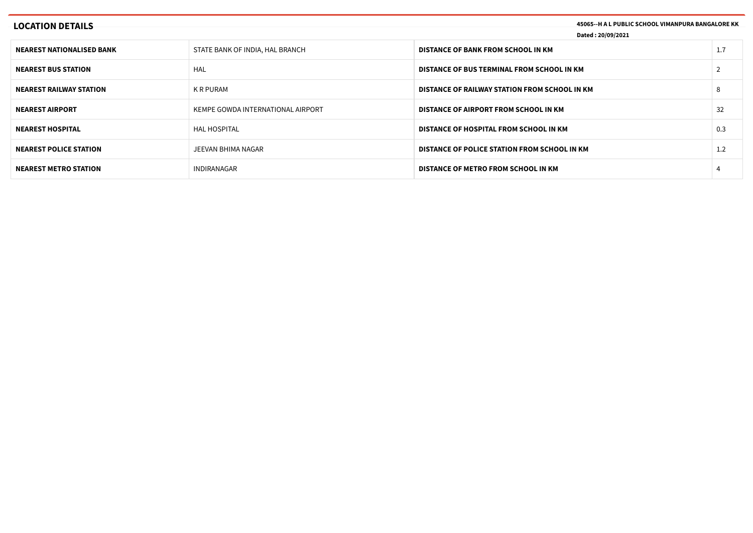| <b>LOCATION DETAILS</b>          |                                   | 45065--H A L PUBLIC SCHOOL VIMANPURA BANGALORE KK<br>Dated: 20/09/2021 |  |     |
|----------------------------------|-----------------------------------|------------------------------------------------------------------------|--|-----|
| <b>NEAREST NATIONALISED BANK</b> | STATE BANK OF INDIA, HAL BRANCH   | DISTANCE OF BANK FROM SCHOOL IN KM                                     |  | 1.7 |
| <b>NEAREST BUS STATION</b>       | HAL                               | DISTANCE OF BUS TERMINAL FROM SCHOOL IN KM                             |  |     |
| <b>NEAREST RAILWAY STATION</b>   | K R PURAM                         | DISTANCE OF RAILWAY STATION FROM SCHOOL IN KM                          |  |     |
| <b>NEAREST AIRPORT</b>           | KEMPE GOWDA INTERNATIONAL AIRPORT | DISTANCE OF AIRPORT FROM SCHOOL IN KM                                  |  | 32  |
| <b>NEAREST HOSPITAL</b>          | <b>HAL HOSPITAL</b>               | DISTANCE OF HOSPITAL FROM SCHOOL IN KM                                 |  | 0.3 |
| <b>NEAREST POLICE STATION</b>    | JEEVAN BHIMA NAGAR                | DISTANCE OF POLICE STATION FROM SCHOOL IN KM                           |  | 1.2 |
| <b>NEAREST METRO STATION</b>     | INDIRANAGAR                       | DISTANCE OF METRO FROM SCHOOL IN KM                                    |  |     |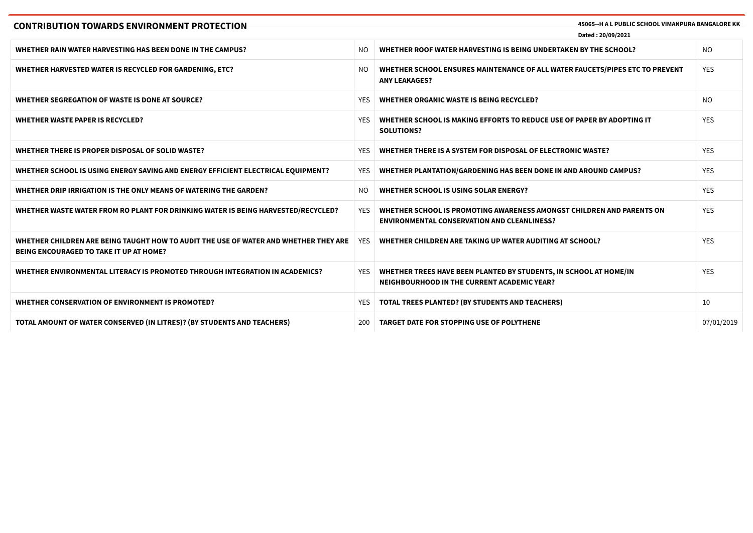| <b>CONTRIBUTION TOWARDS ENVIRONMENT PROTECTION</b>                                                                              | 45065 -- H A L PUBLIC SCHOOL VIMANPURA BANGALORE KK<br>Dated: 20/09/2021 |                                                                                                                             |            |
|---------------------------------------------------------------------------------------------------------------------------------|--------------------------------------------------------------------------|-----------------------------------------------------------------------------------------------------------------------------|------------|
| <b>WHETHER RAIN WATER HARVESTING HAS BEEN DONE IN THE CAMPUS?</b>                                                               | NO.                                                                      | WHETHER ROOF WATER HARVESTING IS BEING UNDERTAKEN BY THE SCHOOL?                                                            | <b>NO</b>  |
| WHETHER HARVESTED WATER IS RECYCLED FOR GARDENING, ETC?                                                                         | NO.                                                                      | WHETHER SCHOOL ENSURES MAINTENANCE OF ALL WATER FAUCETS/PIPES ETC TO PREVENT<br><b>ANY LEAKAGES?</b>                        | <b>YES</b> |
| WHETHER SEGREGATION OF WASTE IS DONE AT SOURCE?                                                                                 | <b>YES</b>                                                               | WHETHER ORGANIC WASTE IS BEING RECYCLED?                                                                                    | <b>NO</b>  |
| <b>WHETHER WASTE PAPER IS RECYCLED?</b>                                                                                         | YES                                                                      | WHETHER SCHOOL IS MAKING EFFORTS TO REDUCE USE OF PAPER BY ADOPTING IT<br><b>SOLUTIONS?</b>                                 | <b>YES</b> |
| WHETHER THERE IS PROPER DISPOSAL OF SOLID WASTE?                                                                                | <b>YES</b>                                                               | WHETHER THERE IS A SYSTEM FOR DISPOSAL OF ELECTRONIC WASTE?                                                                 | <b>YES</b> |
| WHETHER SCHOOL IS USING ENERGY SAVING AND ENERGY EFFICIENT ELECTRICAL EQUIPMENT?                                                | YES                                                                      | WHETHER PLANTATION/GARDENING HAS BEEN DONE IN AND AROUND CAMPUS?                                                            | <b>YES</b> |
| WHETHER DRIP IRRIGATION IS THE ONLY MEANS OF WATERING THE GARDEN?                                                               | NO.                                                                      | <b>WHETHER SCHOOL IS USING SOLAR ENERGY?</b>                                                                                | <b>YES</b> |
| WHETHER WASTE WATER FROM RO PLANT FOR DRINKING WATER IS BEING HARVESTED/RECYCLED?                                               | YES                                                                      | WHETHER SCHOOL IS PROMOTING AWARENESS AMONGST CHILDREN AND PARENTS ON<br><b>ENVIRONMENTAL CONSERVATION AND CLEANLINESS?</b> | <b>YES</b> |
| WHETHER CHILDREN ARE BEING TAUGHT HOW TO AUDIT THE USE OF WATER AND WHETHER THEY ARE<br>BEING ENCOURAGED TO TAKE IT UP AT HOME? | YES.                                                                     | WHETHER CHILDREN ARE TAKING UP WATER AUDITING AT SCHOOL?                                                                    | <b>YFS</b> |
| WHETHER ENVIRONMENTAL LITERACY IS PROMOTED THROUGH INTEGRATION IN ACADEMICS?                                                    | YES                                                                      | WHETHER TREES HAVE BEEN PLANTED BY STUDENTS, IN SCHOOL AT HOME/IN<br>NEIGHBOURHOOD IN THE CURRENT ACADEMIC YEAR?            | <b>YES</b> |
| WHETHER CONSERVATION OF ENVIRONMENT IS PROMOTED?                                                                                | YES                                                                      | <b>TOTAL TREES PLANTED? (BY STUDENTS AND TEACHERS)</b>                                                                      | 10         |
| TOTAL AMOUNT OF WATER CONSERVED (IN LITRES)? (BY STUDENTS AND TEACHERS)                                                         | 200                                                                      | <b>TARGET DATE FOR STOPPING USE OF POLYTHENE</b>                                                                            | 07/01/2019 |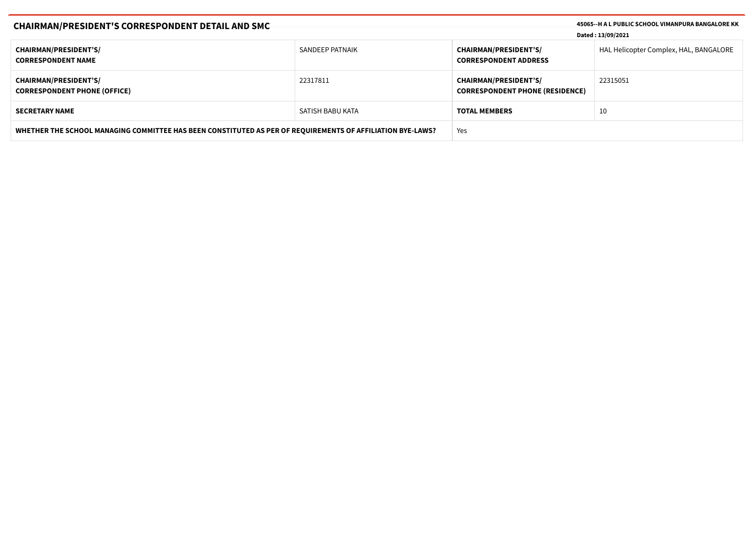| <b>CHAIRMAN/PRESIDENT'S CORRESPONDENT DETAIL AND SMC</b>                                                   |                  | 45065--H A L PUBLIC SCHOOL VIMANPURA BANGALORE KK<br>Dated: 13/09/2021 |                                        |
|------------------------------------------------------------------------------------------------------------|------------------|------------------------------------------------------------------------|----------------------------------------|
| <b>CHAIRMAN/PRESIDENT'S/</b><br><b>CORRESPONDENT NAME</b>                                                  | SANDEEP PATNAIK  | <b>CHAIRMAN/PRESIDENT'S/</b><br><b>CORRESPONDENT ADDRESS</b>           | HAL Helicopter Complex, HAL, BANGALORE |
| <b>CHAIRMAN/PRESIDENT'S/</b><br><b>CORRESPONDENT PHONE (OFFICE)</b>                                        | 22317811         | <b>CHAIRMAN/PRESIDENT'S/</b><br><b>CORRESPONDENT PHONE (RESIDENCE)</b> | 22315051                               |
| <b>SECRETARY NAME</b>                                                                                      | SATISH BABU KATA | <b>TOTAL MEMBERS</b>                                                   | 10                                     |
| WHETHER THE SCHOOL MANAGING COMMITTEE HAS BEEN CONSTITUTED AS PER OF REQUIREMENTS OF AFFILIATION BYE-LAWS? |                  | Yes                                                                    |                                        |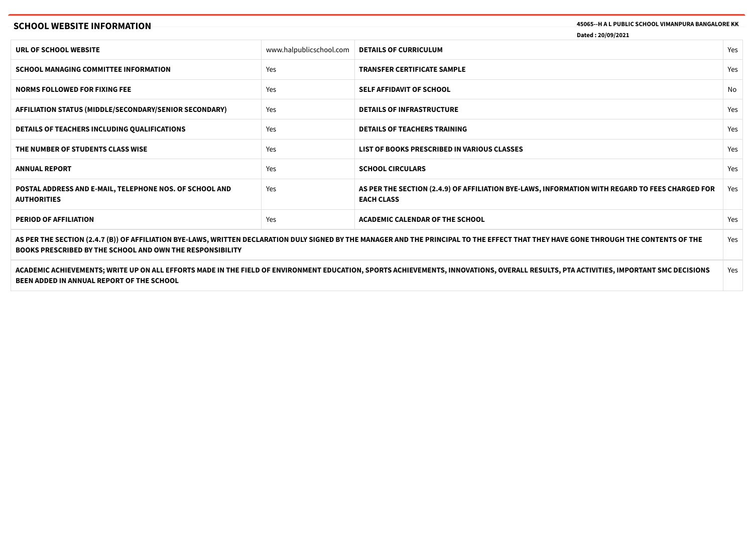# **SCHOOL WEBSITE INFORMATION 45065--H A L PUBLIC SCHOOL VIMANPURA BANGALORE KK**

**Dated : 20/09/2021**

| URL OF SCHOOL WEBSITE                                                                                                                                                                                                                                      | www.halpublicschool.com | <b>DETAILS OF CURRICULUM</b>                                                                                         | Yes |
|------------------------------------------------------------------------------------------------------------------------------------------------------------------------------------------------------------------------------------------------------------|-------------------------|----------------------------------------------------------------------------------------------------------------------|-----|
| <b>SCHOOL MANAGING COMMITTEE INFORMATION</b>                                                                                                                                                                                                               | Yes                     | <b>TRANSFER CERTIFICATE SAMPLE</b>                                                                                   | Yes |
| <b>NORMS FOLLOWED FOR FIXING FEE</b>                                                                                                                                                                                                                       | Yes                     | <b>SELF AFFIDAVIT OF SCHOOL</b>                                                                                      | No  |
| AFFILIATION STATUS (MIDDLE/SECONDARY/SENIOR SECONDARY)                                                                                                                                                                                                     | Yes                     | <b>DETAILS OF INFRASTRUCTURE</b>                                                                                     | Yes |
| DETAILS OF TEACHERS INCLUDING QUALIFICATIONS                                                                                                                                                                                                               | Yes                     | <b>DETAILS OF TEACHERS TRAINING</b>                                                                                  | Yes |
| THE NUMBER OF STUDENTS CLASS WISE                                                                                                                                                                                                                          | Yes                     | LIST OF BOOKS PRESCRIBED IN VARIOUS CLASSES                                                                          | Yes |
| <b>ANNUAL REPORT</b>                                                                                                                                                                                                                                       | Yes                     | <b>SCHOOL CIRCULARS</b>                                                                                              | Yes |
| POSTAL ADDRESS AND E-MAIL, TELEPHONE NOS. OF SCHOOL AND<br><b>AUTHORITIES</b>                                                                                                                                                                              | Yes                     | AS PER THE SECTION (2.4.9) OF AFFILIATION BYE-LAWS, INFORMATION WITH REGARD TO FEES CHARGED FOR<br><b>EACH CLASS</b> | Yes |
| <b>PERIOD OF AFFILIATION</b>                                                                                                                                                                                                                               | Yes                     | <b>ACADEMIC CALENDAR OF THE SCHOOL</b>                                                                               | Yes |
| AS PER THE SECTION (2.4.7 (B)) OF AFFILIATION BYE-LAWS, WRITTEN DECLARATION DULY SIGNED BY THE MANAGER AND THE PRINCIPAL TO THE EFFECT THAT THEY HAVE GONE THROUGH THE CONTENTS OF THE<br><b>BOOKS PRESCRIBED BY THE SCHOOL AND OWN THE RESPONSIBILITY</b> |                         |                                                                                                                      |     |
| ACADEMIC ACHIEVEMENTS; WRITE UP ON ALL EFFORTS MADE IN THE FIELD OF ENVIRONMENT EDUCATION, SPORTS ACHIEVEMENTS, INNOVATIONS, OVERALL RESULTS, PTA ACTIVITIES, IMPORTANT SMC DECISIONS<br>Yes                                                               |                         |                                                                                                                      |     |

**BEEN ADDED IN ANNUAL REPORT OF THE SCHOOL**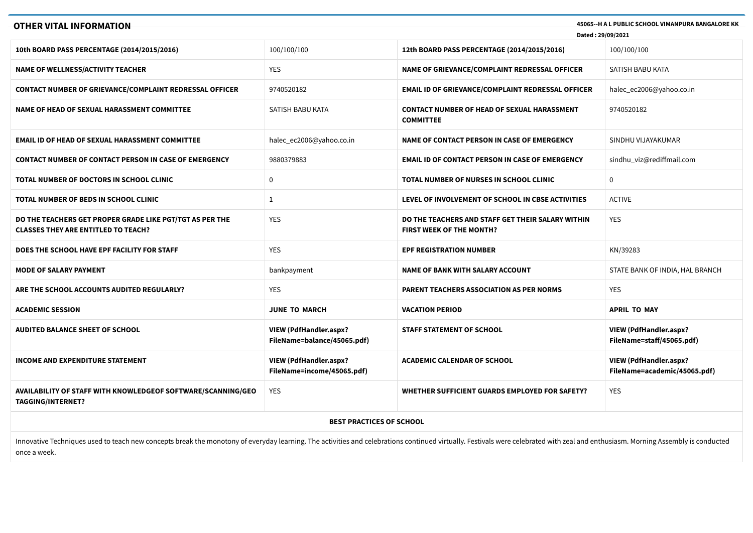| 45065--H A L PUBLIC SCHOOL VIMANPURA BANGALORE KK<br><b>OTHER VITAL INFORMATION</b><br>Dated: 29/09/2021                                                                                                                       |                                                              |                                                                                      |                                                               |  |
|--------------------------------------------------------------------------------------------------------------------------------------------------------------------------------------------------------------------------------|--------------------------------------------------------------|--------------------------------------------------------------------------------------|---------------------------------------------------------------|--|
|                                                                                                                                                                                                                                |                                                              |                                                                                      |                                                               |  |
| 10th BOARD PASS PERCENTAGE (2014/2015/2016)                                                                                                                                                                                    | 100/100/100                                                  | 12th BOARD PASS PERCENTAGE (2014/2015/2016)                                          | 100/100/100                                                   |  |
| <b>NAME OF WELLNESS/ACTIVITY TEACHER</b>                                                                                                                                                                                       | <b>YES</b>                                                   | NAME OF GRIEVANCE/COMPLAINT REDRESSAL OFFICER                                        | SATISH BABU KATA                                              |  |
| CONTACT NUMBER OF GRIEVANCE/COMPLAINT REDRESSAL OFFICER                                                                                                                                                                        | 9740520182                                                   | <b>EMAIL ID OF GRIEVANCE/COMPLAINT REDRESSAL OFFICER</b>                             | halec_ec2006@yahoo.co.in                                      |  |
| NAME OF HEAD OF SEXUAL HARASSMENT COMMITTEE                                                                                                                                                                                    | SATISH BABU KATA                                             | <b>CONTACT NUMBER OF HEAD OF SEXUAL HARASSMENT</b><br><b>COMMITTEE</b>               | 9740520182                                                    |  |
| <b>EMAIL ID OF HEAD OF SEXUAL HARASSMENT COMMITTEE</b>                                                                                                                                                                         | halec_ec2006@yahoo.co.in                                     | NAME OF CONTACT PERSON IN CASE OF EMERGENCY                                          | SINDHU VIJAYAKUMAR                                            |  |
| <b>CONTACT NUMBER OF CONTACT PERSON IN CASE OF EMERGENCY</b>                                                                                                                                                                   | 9880379883                                                   | <b>EMAIL ID OF CONTACT PERSON IN CASE OF EMERGENCY</b>                               | sindhu_viz@rediffmail.com                                     |  |
| TOTAL NUMBER OF DOCTORS IN SCHOOL CLINIC                                                                                                                                                                                       | $\mathbf 0$                                                  | TOTAL NUMBER OF NURSES IN SCHOOL CLINIC                                              | 0                                                             |  |
| TOTAL NUMBER OF BEDS IN SCHOOL CLINIC                                                                                                                                                                                          | $\mathbf{1}$                                                 | LEVEL OF INVOLVEMENT OF SCHOOL IN CBSE ACTIVITIES                                    | <b>ACTIVE</b>                                                 |  |
| DO THE TEACHERS GET PROPER GRADE LIKE PGT/TGT AS PER THE<br><b>CLASSES THEY ARE ENTITLED TO TEACH?</b>                                                                                                                         | YES                                                          | DO THE TEACHERS AND STAFF GET THEIR SALARY WITHIN<br><b>FIRST WEEK OF THE MONTH?</b> | <b>YES</b>                                                    |  |
| DOES THE SCHOOL HAVE EPF FACILITY FOR STAFF                                                                                                                                                                                    | <b>YES</b>                                                   | <b>EPF REGISTRATION NUMBER</b>                                                       | KN/39283                                                      |  |
| <b>MODE OF SALARY PAYMENT</b>                                                                                                                                                                                                  | bankpayment                                                  | <b>NAME OF BANK WITH SALARY ACCOUNT</b>                                              | STATE BANK OF INDIA, HAL BRANCH                               |  |
| ARE THE SCHOOL ACCOUNTS AUDITED REGULARLY?                                                                                                                                                                                     | <b>YES</b>                                                   | PARENT TEACHERS ASSOCIATION AS PER NORMS                                             | <b>YES</b>                                                    |  |
| <b>ACADEMIC SESSION</b>                                                                                                                                                                                                        | <b>JUNE TO MARCH</b>                                         | <b>VACATION PERIOD</b>                                                               | <b>APRIL TO MAY</b>                                           |  |
| <b>AUDITED BALANCE SHEET OF SCHOOL</b>                                                                                                                                                                                         | <b>VIEW (PdfHandler.aspx?</b><br>FileName=balance/45065.pdf) | <b>STAFF STATEMENT OF SCHOOL</b>                                                     | <b>VIEW (PdfHandler.aspx?</b><br>FileName=staff/45065.pdf)    |  |
| <b>INCOME AND EXPENDITURE STATEMENT</b>                                                                                                                                                                                        | VIEW (PdfHandler.aspx?<br>FileName=income/45065.pdf)         | <b>ACADEMIC CALENDAR OF SCHOOL</b>                                                   | <b>VIEW (PdfHandler.aspx?</b><br>FileName=academic/45065.pdf) |  |
| <b>AVAILABILITY OF STAFF WITH KNOWLEDGEOF SOFTWARE/SCANNING/GEO</b><br><b>TAGGING/INTERNET?</b>                                                                                                                                | <b>YES</b>                                                   | WHETHER SUFFICIENT GUARDS EMPLOYED FOR SAFETY?                                       | <b>YES</b>                                                    |  |
|                                                                                                                                                                                                                                | <b>BEST PRACTICES OF SCHOOL</b>                              |                                                                                      |                                                               |  |
| Innovative Techniques used to teach new concepts break the monotony of everyday learning. The activities and celebrations continued virtually. Festivals were celebrated with zeal and enthusiasm. Morning Assembly is conduct |                                                              |                                                                                      |                                                               |  |

once a week.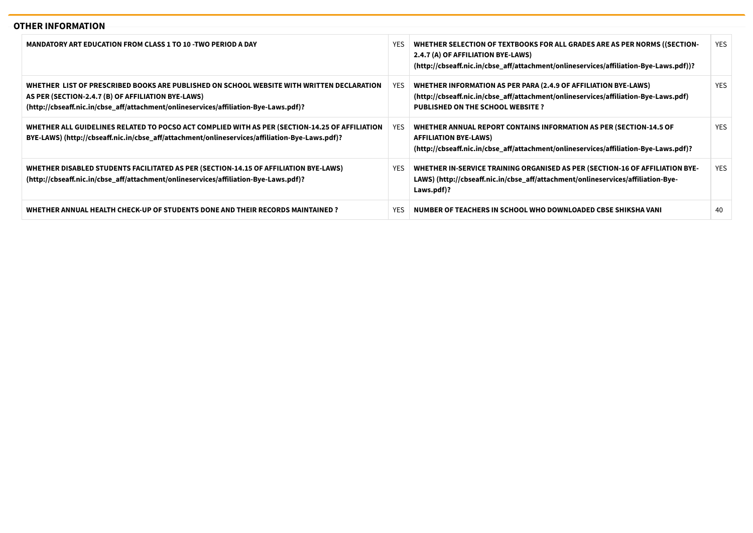# **OTHER INFORMATION**

| MANDATORY ART EDUCATION FROM CLASS 1 TO 10 -TWO PERIOD A DAY                                                                                                                                                                             | <b>YES</b> | WHETHER SELECTION OF TEXTBOOKS FOR ALL GRADES ARE AS PER NORMS ((SECTION-<br>2.4.7 (A) OF AFFILIATION BYE-LAWS)<br>(http://cbseaff.nic.in/cbse_aff/attachment/onlineservices/affiliation-Bye-Laws.pdf))? | <b>YES</b> |
|------------------------------------------------------------------------------------------------------------------------------------------------------------------------------------------------------------------------------------------|------------|----------------------------------------------------------------------------------------------------------------------------------------------------------------------------------------------------------|------------|
| WHETHER  LIST OF PRESCRIBED BOOKS ARE PUBLISHED ON SCHOOL WEBSITE WITH WRITTEN DECLARATION<br>AS PER (SECTION-2.4.7 (B) OF AFFILIATION BYE-LAWS)<br>(http://cbseaff.nic.in/cbse_aff/attachment/onlineservices/affiliation-Bye-Laws.pdf)? | YES.       | WHETHER INFORMATION AS PER PARA (2.4.9 OF AFFILIATION BYE-LAWS)<br>(http://cbseaff.nic.in/cbse_aff/attachment/onlineservices/affiliation-Bye-Laws.pdf)<br><b>PUBLISHED ON THE SCHOOL WEBSITE?</b>        | <b>YES</b> |
| WHETHER ALL GUIDELINES RELATED TO POCSO ACT COMPLIED WITH AS PER (SECTION-14.25 OF AFFILIATION<br>BYE-LAWS) (http://cbseaff.nic.in/cbse_aff/attachment/onlineservices/affiliation-Bye-Laws.pdf)?                                         | YES.       | WHETHER ANNUAL REPORT CONTAINS INFORMATION AS PER (SECTION-14.5 OF<br><b>AFFILIATION BYE-LAWS)</b><br>(http://cbseaff.nic.in/cbse_aff/attachment/onlineservices/affiliation-Bye-Laws.pdf)?               | <b>YES</b> |
| WHETHER DISABLED STUDENTS FACILITATED AS PER (SECTION-14.15 OF AFFILIATION BYE-LAWS)<br>(http://cbseaff.nic.in/cbse aff/attachment/onlineservices/affiliation-Bye-Laws.pdf)?                                                             | YES        | WHETHER IN-SERVICE TRAINING ORGANISED AS PER (SECTION-16 OF AFFILIATION BYE-<br>LAWS) (http://cbseaff.nic.in/cbse_aff/attachment/onlineservices/affiliation-Bye-<br>Laws.pdf)?                           | <b>YES</b> |
| WHETHER ANNUAL HEALTH CHECK-UP OF STUDENTS DONE AND THEIR RECORDS MAINTAINED ?                                                                                                                                                           | <b>YES</b> | NUMBER OF TEACHERS IN SCHOOL WHO DOWNLOADED CBSE SHIKSHA VANI                                                                                                                                            | 40         |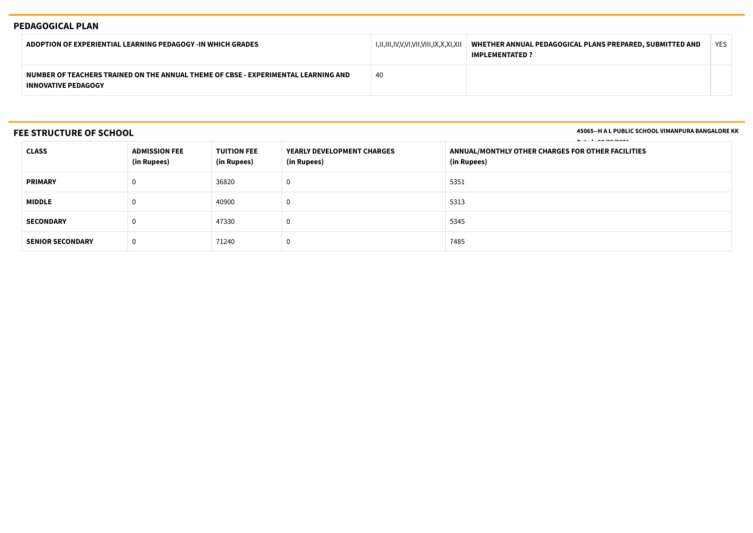# **PEDAGOGICAL PLAN**

| ADOPTION OF EXPERIENTIAL LEARNING PEDAGOGY -IN WHICH GRADES                                                      | I,II,III,IV,V,VI,VII,VIII,IX,X,XI,XII | WHETHER ANNUAL PEDAGOGICAL PLANS PREPARED, SUBMITTED AND<br><b>IMPLEMENTATED ?</b> | <b>YES</b> |  |
|------------------------------------------------------------------------------------------------------------------|---------------------------------------|------------------------------------------------------------------------------------|------------|--|
| NUMBER OF TEACHERS TRAINED ON THE ANNUAL THEME OF CBSE - EXPERIMENTAL LEARNING AND<br><b>INNOVATIVE PEDAGOGY</b> | 40                                    |                                                                                    |            |  |

**FEE STRUCTURE OF SCHOOL**

**45065--H A L PUBLIC SCHOOL VIMANPURA BANGALORE KK**

| <b>CLASS</b>            | <b>ADMISSION FEE</b><br>(in Rupees) | <b>TUITION FEE</b><br><b>YEARLY DEVELOPMENT CHARGES</b><br>(in Rupees)<br>(in Rupees) |   | <b>.</b><br>ANNUAL/MONTHLY OTHER CHARGES FOR OTHER FACILITIES<br>(in Rupees) |
|-------------------------|-------------------------------------|---------------------------------------------------------------------------------------|---|------------------------------------------------------------------------------|
| <b>PRIMARY</b>          | 0                                   | 36820                                                                                 | U | 5351                                                                         |
| <b>MIDDLE</b>           | 40900<br>0                          |                                                                                       | 0 | 5313                                                                         |
| <b>SECONDARY</b>        | 0                                   | 47330<br>5345<br>U                                                                    |   |                                                                              |
| <b>SENIOR SECONDARY</b> | 0                                   | 71240                                                                                 | 0 | 7485                                                                         |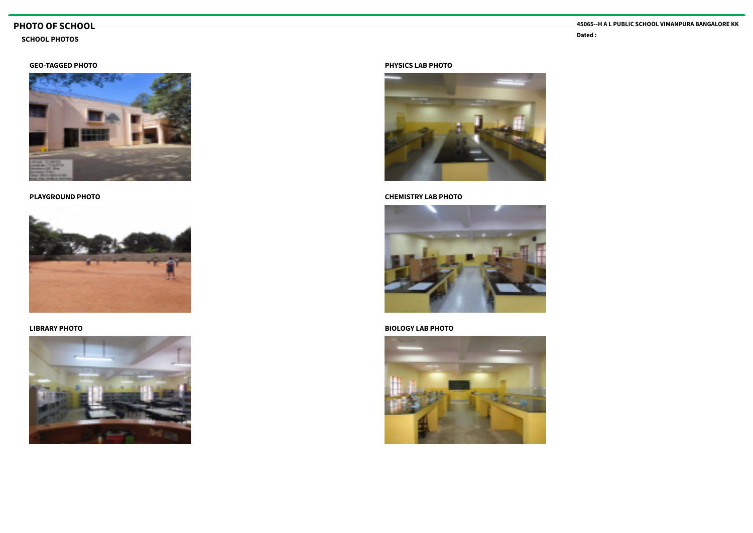# **PHOTO OF SCHOOL**

# **Dated : SCHOOL PHOTOS**

# **GEO-TAGGED PHOTO**



**PLAYGROUND PHOTO**



**LIBRARY PHOTO**



#### **PHYSICS LAB PHOTO**



## **CHEMISTRY LAB PHOTO**



## **BIOLOGY LAB PHOTO**

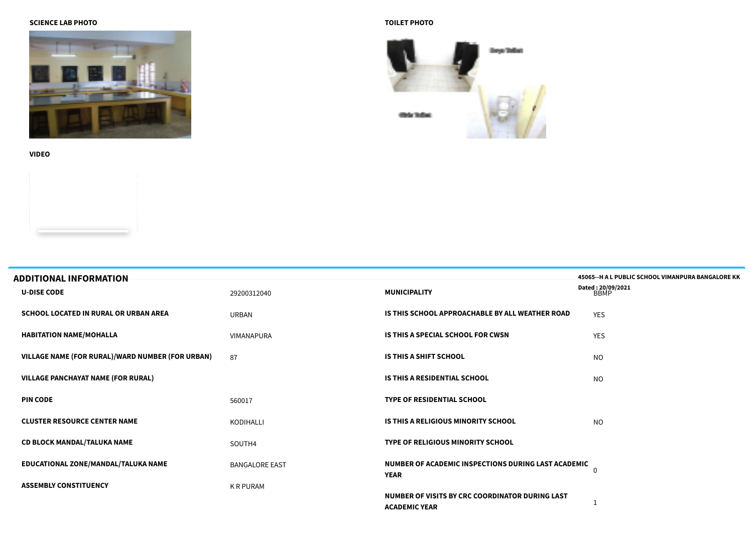#### **SCIENCE LAB PHOTO**



**VIDEO**

## **TOILET PHOTO**



| <b>ADDITIONAL INFORMATION</b>                    |                       |                                                                         | 45065--H A L PUBLIC SCHOOL VIMANPURA BANGALORE KK |
|--------------------------------------------------|-----------------------|-------------------------------------------------------------------------|---------------------------------------------------|
| <b>U-DISE CODE</b>                               | 29200312040           | <b>MUNICIPALITY</b>                                                     | Dated: 20/09/2021<br>BBMP                         |
| <b>SCHOOL LOCATED IN RURAL OR URBAN AREA</b>     | <b>URBAN</b>          | IS THIS SCHOOL APPROACHABLE BY ALL WEATHER ROAD                         | <b>YES</b>                                        |
| <b>HABITATION NAME/MOHALLA</b>                   | <b>VIMANAPURA</b>     | IS THIS A SPECIAL SCHOOL FOR CWSN                                       | <b>YES</b>                                        |
| VILLAGE NAME (FOR RURAL)/WARD NUMBER (FOR URBAN) | 87                    | IS THIS A SHIFT SCHOOL                                                  | <b>NO</b>                                         |
| <b>VILLAGE PANCHAYAT NAME (FOR RURAL)</b>        |                       | <b>IS THIS A RESIDENTIAL SCHOOL</b>                                     | <b>NO</b>                                         |
| <b>PIN CODE</b>                                  | 560017                | <b>TYPE OF RESIDENTIAL SCHOOL</b>                                       |                                                   |
| <b>CLUSTER RESOURCE CENTER NAME</b>              | KODIHALLI             | IS THIS A RELIGIOUS MINORITY SCHOOL                                     | <sub>NO</sub>                                     |
| <b>CD BLOCK MANDAL/TALUKA NAME</b>               | SOUTH4                | <b>TYPE OF RELIGIOUS MINORITY SCHOOL</b>                                |                                                   |
| EDUCATIONAL ZONE/MANDAL/TALUKA NAME              | <b>BANGALORE EAST</b> | NUMBER OF ACADEMIC INSPECTIONS DURING LAST ACADEMIC<br><b>YEAR</b>      | 0                                                 |
| <b>ASSEMBLY CONSTITUENCY</b>                     | K R PURAM             |                                                                         |                                                   |
|                                                  |                       | NUMBER OF VISITS BY CRC COORDINATOR DURING LAST<br><b>ACADEMIC YEAR</b> |                                                   |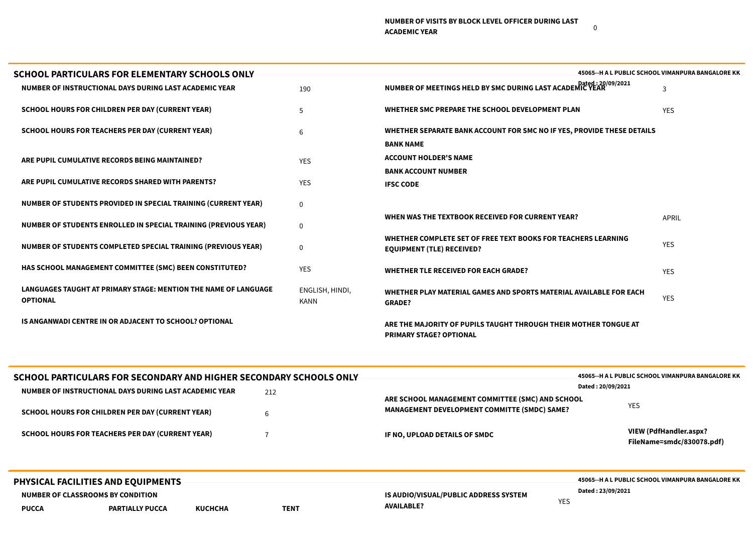| SCHOOL PARTICULARS FOR ELEMENTARY SCHOOLS ONLY                                     |                         |                                                                                                    | 45065--H A L PUBLIC SCHOOL VIMANPURA BANGALORE KK |
|------------------------------------------------------------------------------------|-------------------------|----------------------------------------------------------------------------------------------------|---------------------------------------------------|
| NUMBER OF INSTRUCTIONAL DAYS DURING LAST ACADEMIC YEAR                             | 190                     | NUMBER OF MEETINGS HELD BY SMC DURING LAST ACADEMIC YEAR 120/09/2021                               | 3                                                 |
| <b>SCHOOL HOURS FOR CHILDREN PER DAY (CURRENT YEAR)</b>                            | .5                      | WHETHER SMC PREPARE THE SCHOOL DEVELOPMENT PLAN                                                    | <b>YES</b>                                        |
| <b>SCHOOL HOURS FOR TEACHERS PER DAY (CURRENT YEAR)</b>                            | 6                       | WHETHER SEPARATE BANK ACCOUNT FOR SMC NO IF YES, PROVIDE THESE DETAILS                             |                                                   |
|                                                                                    |                         | <b>BANK NAME</b>                                                                                   |                                                   |
| ARE PUPIL CUMULATIVE RECORDS BEING MAINTAINED?                                     | <b>YES</b>              | <b>ACCOUNT HOLDER'S NAME</b>                                                                       |                                                   |
|                                                                                    |                         | <b>BANK ACCOUNT NUMBER</b>                                                                         |                                                   |
| ARE PUPIL CUMULATIVE RECORDS SHARED WITH PARENTS?                                  | <b>YES</b>              | <b>IFSC CODE</b>                                                                                   |                                                   |
| <b>NUMBER OF STUDENTS PROVIDED IN SPECIAL TRAINING (CURRENT YEAR)</b>              | $\mathbf{0}$            |                                                                                                    |                                                   |
| <b>NUMBER OF STUDENTS ENROLLED IN SPECIAL TRAINING (PREVIOUS YEAR)</b>             | $\mathbf{0}$            | WHEN WAS THE TEXTBOOK RECEIVED FOR CURRENT YEAR?                                                   | <b>APRIL</b>                                      |
| NUMBER OF STUDENTS COMPLETED SPECIAL TRAINING (PREVIOUS YEAR)                      | $\mathbf{0}$            | WHETHER COMPLETE SET OF FREE TEXT BOOKS FOR TEACHERS LEARNING<br><b>EQUIPMENT (TLE) RECEIVED?</b>  | <b>YES</b>                                        |
| <b>HAS SCHOOL MANAGEMENT COMMITTEE (SMC) BEEN CONSTITUTED?</b>                     | <b>YES</b>              | <b>WHETHER TLE RECEIVED FOR EACH GRADE?</b>                                                        | <b>YES</b>                                        |
| LANGUAGES TAUGHT AT PRIMARY STAGE: MENTION THE NAME OF LANGUAGE<br><b>OPTIONAL</b> | ENGLISH, HINDI,<br>KANN | WHETHER PLAY MATERIAL GAMES AND SPORTS MATERIAL AVAILABLE FOR EACH<br><b>GRADE?</b>                | <b>YES</b>                                        |
| IS ANGANWADI CENTRE IN OR ADJACENT TO SCHOOL? OPTIONAL                             |                         | ARE THE MAJORITY OF PUPILS TAUGHT THROUGH THEIR MOTHER TONGUE AT<br><b>PRIMARY STAGE? OPTIONAL</b> |                                                   |

 $\overline{\phantom{a}}$ 

|              | SCHOOL PARTICULARS FOR SECONDARY AND HIGHER SECONDARY SCHOOLS ONLY<br>NUMBER OF INSTRUCTIONAL DAYS DURING LAST ACADEMIC YEAR | 212         |                                                                                                         | 45065--H A L PUBLIC SCHOOL VIMANPURA BANGALORE KK<br>Dated: 20/09/2021 |
|--------------|------------------------------------------------------------------------------------------------------------------------------|-------------|---------------------------------------------------------------------------------------------------------|------------------------------------------------------------------------|
|              | SCHOOL HOURS FOR CHILDREN PER DAY (CURRENT YEAR)                                                                             | 6           | ARE SCHOOL MANAGEMENT COMMITTEE (SMC) AND SCHOOL<br><b>MANAGEMENT DEVELOPMENT COMMITTE (SMDC) SAME?</b> | <b>YES</b>                                                             |
|              | <b>SCHOOL HOURS FOR TEACHERS PER DAY (CURRENT YEAR)</b>                                                                      |             | IF NO, UPLOAD DETAILS OF SMDC                                                                           | VIEW (PdfHandler.aspx?<br>FileName=smdc/830078.pdf)                    |
| <b>PUCCA</b> | PHYSICAL FACILITIES AND EQUIPMENTS<br>NUMBER OF CLASSROOMS BY CONDITION<br><b>PARTIALLY PUCCA</b><br><b>KUCHCHA</b>          | <b>TENT</b> | IS AUDIO/VISUAL/PUBLIC ADDRESS SYSTEM<br><b>YES</b><br><b>AVAILABLE?</b>                                | 45065--H A L PUBLIC SCHOOL VIMANPURA BANGALORE KK<br>Dated: 23/09/2021 |

0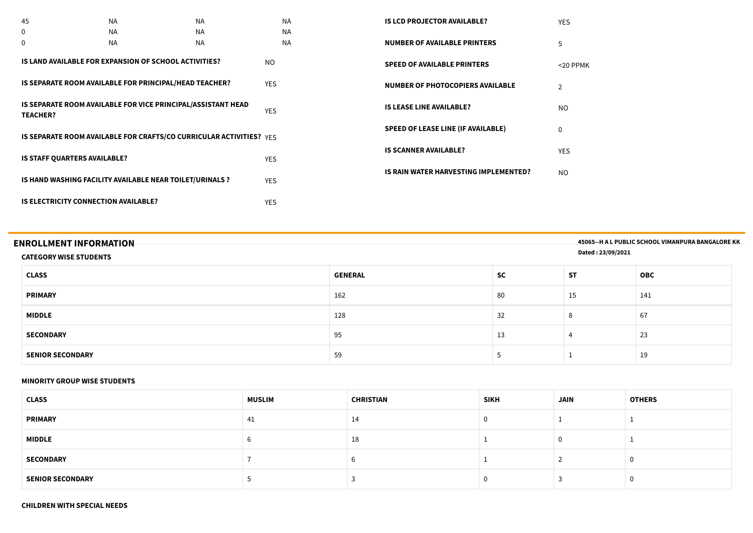| 45                                          | <b>NA</b>                                                           | <b>NA</b> |            | <b>NA</b> | <b>IS LCD PROJECTOR AVAILABLE?</b>        | <b>YES</b>     |
|---------------------------------------------|---------------------------------------------------------------------|-----------|------------|-----------|-------------------------------------------|----------------|
| 0                                           | <b>NA</b>                                                           | <b>NA</b> |            | <b>NA</b> |                                           |                |
| $\Omega$                                    | <b>NA</b>                                                           | <b>NA</b> |            | <b>NA</b> | <b>NUMBER OF AVAILABLE PRINTERS</b>       | 5              |
|                                             | IS LAND AVAILABLE FOR EXPANSION OF SCHOOL ACTIVITIES?               |           | <b>NO</b>  |           | <b>SPEED OF AVAILABLE PRINTERS</b>        | $<$ 20 PPMK    |
|                                             | IS SEPARATE ROOM AVAILABLE FOR PRINCIPAL/HEAD TEACHER?              |           | <b>YES</b> |           | <b>NUMBER OF PHOTOCOPIERS AVAILABLE</b>   | $\overline{2}$ |
| <b>TEACHER?</b>                             | IS SEPARATE ROOM AVAILABLE FOR VICE PRINCIPAL/ASSISTANT HEAD        |           | <b>YES</b> |           | <b>IS LEASE LINE AVAILABLE?</b>           | NO.            |
|                                             | IS SEPARATE ROOM AVAILABLE FOR CRAFTS/CO CURRICULAR ACTIVITIES? YFS |           |            |           | <b>SPEED OF LEASE LINE (IF AVAILABLE)</b> | $\mathbf 0$    |
| <b>IS STAFF QUARTERS AVAILABLE?</b>         |                                                                     |           | <b>YES</b> |           | <b>IS SCANNER AVAILABLE?</b>              | <b>YES</b>     |
|                                             | IS HAND WASHING FACILITY AVAILABLE NEAR TOILET/URINALS ?            |           | <b>YES</b> |           | IS RAIN WATER HARVESTING IMPLEMENTED?     | NO.            |
| <b>IS ELECTRICITY CONNECTION AVAILABLE?</b> |                                                                     |           | <b>YES</b> |           |                                           |                |

| <b>ENROLLMENT INFORMATION</b><br><b>CATEGORY WISE STUDENTS</b> |                |           | Dated: 23/09/2021 | 45065--H A L PUBLIC SCHOOL VIMANPURA BANGALORE KK |
|----------------------------------------------------------------|----------------|-----------|-------------------|---------------------------------------------------|
| <b>CLASS</b>                                                   | <b>GENERAL</b> | <b>SC</b> | <b>ST</b>         | <b>OBC</b>                                        |
| <b>PRIMARY</b>                                                 | 162            | 80        | 15                | 141                                               |
| <b>MIDDLE</b>                                                  | 128            | 32        |                   | 67                                                |
| <b>SECONDARY</b>                                               | 95             | 13        |                   | 23                                                |
| <b>SENIOR SECONDARY</b>                                        | 59             |           |                   | 19                                                |

#### **MINORITY GROUP WISE STUDENTS**

| <b>CLASS</b>            | <b>MUSLIM</b> | <b>CHRISTIAN</b> | <b>SIKH</b> | <b>JAIN</b> | <b>OTHERS</b> |
|-------------------------|---------------|------------------|-------------|-------------|---------------|
| <b>PRIMARY</b>          | 41            | 14               |             |             |               |
| <b>MIDDLE</b>           |               | 18               |             |             |               |
| <b>SECONDARY</b>        |               |                  |             |             |               |
| <b>SENIOR SECONDARY</b> |               |                  |             |             |               |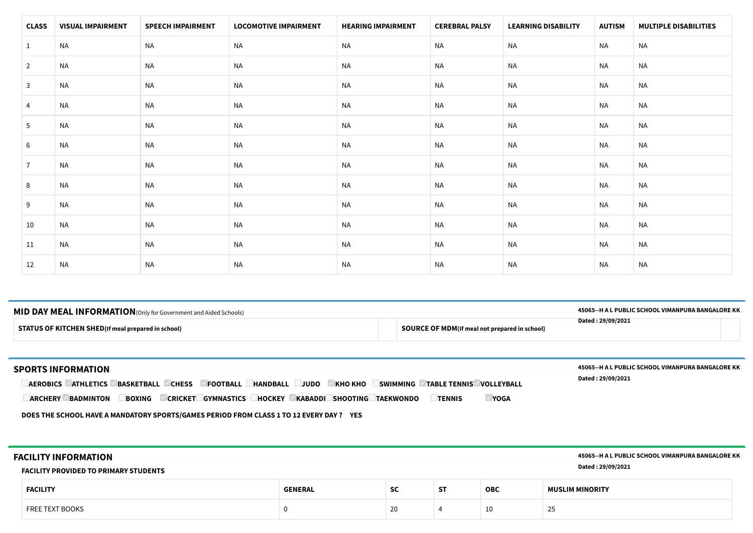| <b>CLASS</b>   | <b>VISUAL IMPAIRMENT</b> | <b>SPEECH IMPAIRMENT</b> | <b>LOCOMOTIVE IMPAIRMENT</b> | <b>HEARING IMPAIRMENT</b> | <b>CEREBRAL PALSY</b> | <b>LEARNING DISABILITY</b> | <b>AUTISM</b> | <b>MULTIPLE DISABILITIES</b> |
|----------------|--------------------------|--------------------------|------------------------------|---------------------------|-----------------------|----------------------------|---------------|------------------------------|
| $\mathbf{1}$   | <b>NA</b>                | <b>NA</b>                | <b>NA</b>                    | NA                        | NA                    | <b>NA</b>                  | NA            | <b>NA</b>                    |
| $\overline{2}$ | NA                       | <b>NA</b>                | <b>NA</b>                    | NA                        | NA                    | <b>NA</b>                  | NA            | <b>NA</b>                    |
| $\mathbf{3}$   | <b>NA</b>                | <b>NA</b>                | <b>NA</b>                    | <b>NA</b>                 | <b>NA</b>             | <b>NA</b>                  | NA            | <b>NA</b>                    |
| 4              | <b>NA</b>                | <b>NA</b>                | <b>NA</b>                    | <b>NA</b>                 | NA                    | <b>NA</b>                  | NA            | <b>NA</b>                    |
| 5              | <b>NA</b>                | <b>NA</b>                | <b>NA</b>                    | <b>NA</b>                 | NA                    | <b>NA</b>                  | NA            | <b>NA</b>                    |
| 6              | <b>NA</b>                | <b>NA</b>                | <b>NA</b>                    | NA                        | NA                    | <b>NA</b>                  | NA            | <b>NA</b>                    |
| $\overline{7}$ | NA                       | <b>NA</b>                | <b>NA</b>                    | NA                        | NA                    | <b>NA</b>                  | NA            | <b>NA</b>                    |
| 8              | <b>NA</b>                | <b>NA</b>                | <b>NA</b>                    | NA                        | <b>NA</b>             | NA                         | NA            | <b>NA</b>                    |
| 9              | <b>NA</b>                | <b>NA</b>                | <b>NA</b>                    | NA                        | NA                    | NA                         | NA            | <b>NA</b>                    |
| 10             | NA                       | <b>NA</b>                | <b>NA</b>                    | NA                        | NA                    | <b>NA</b>                  | NA            | <b>NA</b>                    |
| 11             | <b>NA</b>                | <b>NA</b>                | <b>NA</b>                    | NA                        | NA                    | <b>NA</b>                  | <b>NA</b>     | <b>NA</b>                    |
| 12             | <b>NA</b>                | <b>NA</b>                | <b>NA</b>                    | <b>NA</b>                 | NA                    | <b>NA</b>                  | NA            | <b>NA</b>                    |

### **STATUS OF KITCHEN SHED(If meal prepared in school) SOURCE OF MDM(If meal not prepared in school) MID DAY MEAL INFORMATION**(Only for Government and Aided Schools) **45065--H A L PUBLIC SCHOOL VIMANPURA BANGALORE KK Dated : 29/09/2021**

| <b>SPORTS INFORMATION</b><br><b>JUDO</b><br><b>KHO KHO</b><br><b>CHESS</b><br><b>FOOTBALL</b><br><b>HANDBALL</b><br><b>SWIMMING</b><br><b>TABLE TENNIS VOLLEYBALL</b><br><b>ATHLETICS</b><br><b>BASKETBALL</b><br><b>AEROBICS</b> | 45065--H A L PUBLIC SCHOOL VIMANPURA BANGALORE KK<br>Dated: 29/09/2021 |
|-----------------------------------------------------------------------------------------------------------------------------------------------------------------------------------------------------------------------------------|------------------------------------------------------------------------|
| <b>TENNIS</b><br><b>ARCHERY</b><br><b>BADMINTON</b><br><b>HOCKEY</b><br><b>KABADDI SHOOTING</b><br><b>TAEKWONDO</b><br><b>BOXING</b><br>YOGA<br><b>GYMNASTICS L</b><br><b>CRICKET</b>                                             |                                                                        |

**DOES THE SCHOOL HAVE A MANDATORY SPORTS/GAMES PERIOD FROM CLASS 1 TO 12 EVERY DAY ? YES**

| <b>FACILITY INFORMATION</b><br><b>FACILITY PROVIDED TO PRIMARY STUDENTS</b> | 45065--H A L PUBLIC SCHOOL VIMANPURA BANGALORE KK<br>Dated: 29/09/2021 |           |           |            |                        |
|-----------------------------------------------------------------------------|------------------------------------------------------------------------|-----------|-----------|------------|------------------------|
| <b>FACILITY</b>                                                             | <b>GENERAL</b>                                                         | <b>SC</b> | <b>ST</b> | <b>OBC</b> | <b>MUSLIM MINORITY</b> |
| FREE TEXT BOOKS                                                             |                                                                        | 20        |           | 10         | 25                     |